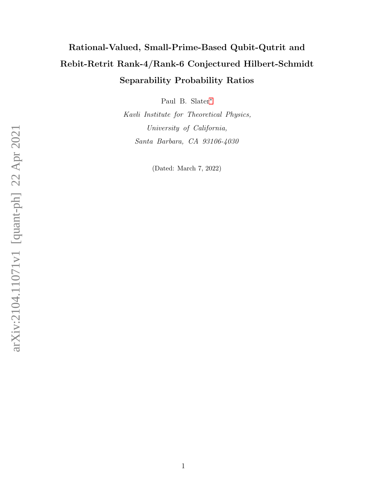# Rational-Valued, Small-Prime-Based Qubit-Qutrit and Rebit-Retrit Rank-4/Rank-6 Conjectured Hilbert-Schmidt Separability Probability Ratios

Paul B. Slater[∗](#page-1-0)

Kavli Institute for Theoretical Physics, University of California, Santa Barbara, CA 93106-4030

(Dated: March 7, 2022)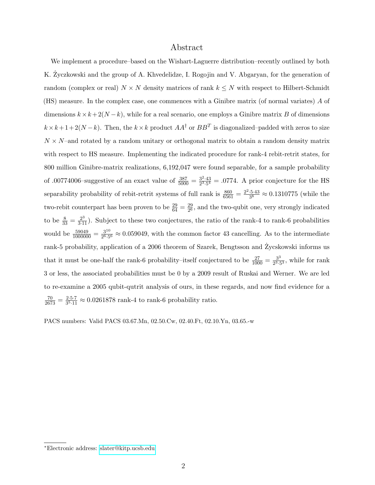# Abstract

We implement a procedure–based on the Wishart-Laguerre distribution–recently outlined by both K. Zyczkowski and the group of A. Khvedelidze, I. Rogojin and V. Abgaryan, for the generation of random (complex or real)  $N \times N$  density matrices of rank  $k \leq N$  with respect to Hilbert-Schmidt (HS) measure. In the complex case, one commences with a Ginibre matrix (of normal variates) A of dimensions  $k \times k + 2(N - k)$ , while for a real scenario, one employs a Ginibre matrix B of dimensions  $k \times k + 1 + 2(N - k)$ . Then, the  $k \times k$  product  $AA^{\dagger}$  or  $BB^{T}$  is diagonalized–padded with zeros to size  $N \times N$ -and rotated by a random unitary or orthogonal matrix to obtain a random density matrix with respect to HS measure. Implementing the indicated procedure for rank-4 rebit-retrit states, for 800 million Ginibre-matrix realizations, 6,192,047 were found separable, for a sample probability of .00774006-suggestive of an exact value of  $\frac{387}{5000} = \frac{3^2 \cdot 43}{2^3 \cdot 5^4}$  $\frac{3^2 \cdot 43}{2^3 \cdot 5^4} = .0774$ . A prior conjecture for the HS separability probability of rebit-retrit systems of full rank is  $\frac{860}{6561} = \frac{2^2 \cdot 5 \cdot 43}{3^8}$  $\frac{3.5 \cdot 43}{3^8} \approx 0.1310775$  (while the two-rebit counterpart has been proven to be  $\frac{29}{64} = \frac{29}{2^6}$  $\frac{29}{26}$ , and the two-qubit one, very strongly indicated to be  $\frac{8}{33} = \frac{2^3}{3 \cdot 11}$ . Subject to these two conjectures, the ratio of the rank-4 to rank-6 probabilities would be  $\frac{59049}{1000000} = \frac{3^{10}}{2^6 \cdot 5}$  $\frac{3^{10}}{2^{6.5}} \approx 0.059049$ , with the common factor 43 cancelling. As to the intermediate rank-5 probability, application of a 2006 theorem of Szarek, Bengtsson and Zycskowski informs us that it must be one-half the rank-6 probability–itself conjectured to be  $\frac{27}{1000} = \frac{3^3}{2^3 \cdot 5^3}$  $\frac{3^5}{2^3 \cdot 5^3}$ , while for rank 3 or less, the associated probabilities must be 0 by a 2009 result of Ruskai and Werner. We are led to re-examine a 2005 qubit-qutrit analysis of ours, in these regards, and now find evidence for a  $\frac{70}{2673} = \frac{2 \cdot 5 \cdot 7}{3^5 \cdot 11}$  $\frac{2 \cdot 5 \cdot 7}{3^5 \cdot 11} \approx 0.0261878$  rank-4 to rank-6 probability ratio.

PACS numbers: Valid PACS 03.67.Mn, 02.50.Cw, 02.40.Ft, 02.10.Yn, 03.65.-w

<span id="page-1-0"></span><sup>∗</sup>Electronic address: [slater@kitp.ucsb.edu](mailto:slater@kitp.ucsb.edu)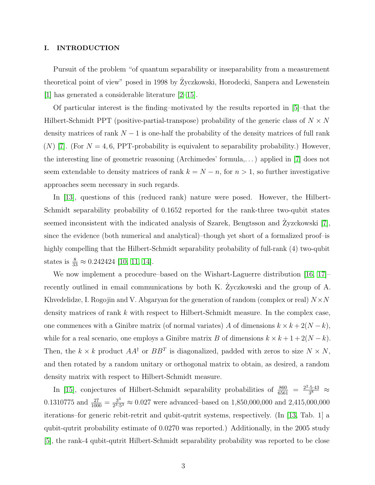### I. INTRODUCTION

Pursuit of the problem "of quantum separability or inseparability from a measurement theoretical point of view" posed in 1998 by Zyczkowski, Horodecki, Sanpera and Lewenstein [\[1\]](#page-5-0) has generated a considerable literature [\[2–](#page-5-1)[15\]](#page-6-0).

Of particular interest is the finding–motivated by the results reported in [\[5\]](#page-6-1)–that the Hilbert-Schmidt PPT (positive-partial-transpose) probability of the generic class of  $N\times N$ density matrices of rank  $N-1$  is one-half the probability of the density matrices of full rank (N) [\[7\]](#page-6-2). (For  $N = 4, 6$ , PPT-probability is equivalent to separability probability.) However, the interesting line of geometric reasoning (Archimedes' formula,. . . ) applied in [\[7\]](#page-6-2) does not seem extendable to density matrices of rank  $k = N - n$ , for  $n > 1$ , so further investigative approaches seem necessary in such regards.

In [\[13\]](#page-6-3), questions of this (reduced rank) nature were posed. However, the Hilbert-Schmidt separability probability of 0.1652 reported for the rank-three two-qubit states seemed inconsistent with the indicated analysis of Szarek, Bengtsson and Zyzckowski [[7\]](#page-6-2), since the evidence (both numerical and analytical)–though yet short of a formalized proof–is highly compelling that the Hilbert-Schmidt separability probability of full-rank (4) two-qubit states is  $\frac{8}{33} \approx 0.242424$  [\[10,](#page-6-4) [11,](#page-6-5) [14\]](#page-6-6).

We now implement a procedure–based on the Wishart-Laguerre distribution [\[16,](#page-6-7) [17\]](#page-6-8)– recently outlined in email communications by both K. Zyczkowski and the group of A. Khvedelidze, I. Rogojin and V. Abgaryan for the generation of random (complex or real)  $N \times N$ density matrices of rank k with respect to Hilbert-Schmidt measure. In the complex case, one commences with a Ginibre matrix (of normal variates) A of dimensions  $k \times k + 2(N - k)$ , while for a real scenario, one employs a Ginibre matrix B of dimensions  $k \times k + 1 + 2(N - k)$ . Then, the  $k \times k$  product  $AA^{\dagger}$  or  $BB^{T}$  is diagonalized, padded with zeros to size  $N \times N$ , and then rotated by a random unitary or orthogonal matrix to obtain, as desired, a random density matrix with respect to Hilbert-Schmidt measure.

In [\[15\]](#page-6-0), conjectures of Hilbert-Schmidt separability probabilities of  $\frac{860}{6561} = \frac{2^2 \cdot 5 \cdot 43}{3^8}$  $\frac{.5\cdot 43}{3^8}$   $\approx$ 0.1310775 and  $\frac{27}{1000} = \frac{3^3}{2^3}$  $\frac{3^3}{2^3 \cdot 5^3} \approx 0.027$  were advanced–based on 1,850,000,000 and 2,415,000,000 iterations–for generic rebit-retrit and qubit-qutrit systems, respectively. (In [\[13,](#page-6-3) Tab. 1] a qubit-qutrit probability estimate of 0.0270 was reported.) Additionally, in the 2005 study [\[5\]](#page-6-1), the rank-4 qubit-qutrit Hilbert-Schmidt separability probability was reported to be close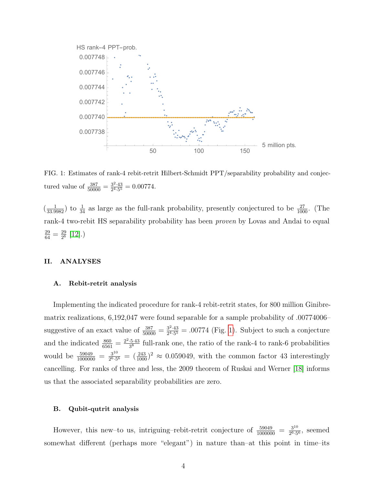

<span id="page-3-0"></span>FIG. 1: Estimates of rank-4 rebit-retrit Hilbert-Schmidt PPT/separability probability and conjectured value of  $\frac{387}{50000} = \frac{3^2 \cdot 43}{2^4 \cdot 5^5}$  $\frac{3^2 \cdot 43}{2^4 \cdot 5^5} = 0.00774.$ 

 $\left(\frac{1}{33.9982}\right)$  to  $\frac{1}{34}$  as large as the full-rank probability, presently conjectured to be  $\frac{27}{1000}$ . (The rank-4 two-rebit HS separability probability has been proven by Lovas and Andai to equal  $\frac{29}{64} = \frac{29}{2^6}$  $\frac{29}{2^6}$  [\[12\]](#page-6-9).)

#### II. ANALYSES

#### A. Rebit-retrit analysis

Implementing the indicated procedure for rank-4 rebit-retrit states, for 800 million Ginibrematrix realizations, 6,192,047 were found separable for a sample probability of .00774006– suggestive of an exact value of  $\frac{387}{50000} = \frac{3^2 \cdot 43}{2^4 \cdot 5^5}$  $\frac{3^{2} \cdot 43}{2^{4} \cdot 5^{5}}$  = .00774 (Fig. [1\)](#page-3-0). Subject to such a conjecture and the indicated  $\frac{860}{6561} = \frac{2^2 \cdot 5 \cdot 43}{3^8}$  $\frac{5.43}{3^8}$  full-rank one, the ratio of the rank-4 to rank-6 probabilities would be  $\frac{59049}{1000000} = \frac{3^{10}}{2^6 \cdot 5}$  $\frac{3^{10}}{2^{6.5}} = (\frac{243}{1000})^2 \approx 0.059049$ , with the common factor 43 interestingly cancelling. For ranks of three and less, the 2009 theorem of Ruskai and Werner [\[18\]](#page-6-10) informs us that the associated separability probabilities are zero.

#### B. Qubit-qutrit analysis

However, this new-to us, intriguing-rebit-retrit conjecture of  $\frac{59049}{1000000} = \frac{3^{10}}{2^6 \cdot 5}$  $\frac{3^{10}}{2^6 \cdot 5^6}$ , seemed somewhat different (perhaps more "elegant") in nature than–at this point in time–its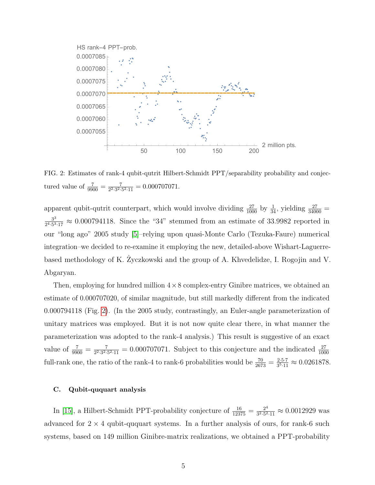

<span id="page-4-0"></span>FIG. 2: Estimates of rank-4 qubit-qutrit Hilbert-Schmidt PPT/separability probability and conjectured value of  $\frac{7}{9900} = \frac{7}{2^2 \cdot 3^2}$  $\frac{7}{2^2 \cdot 3^2 \cdot 5^2 \cdot 11} = 0.000707071.$ 

apparent qubit-qutrit counterpart, which would involve dividing  $\frac{27}{1000}$  by  $\frac{1}{34}$ , yielding  $\frac{27}{34000}$  = 3 3  $\frac{3^3}{2^{4}\cdot5^{3}\cdot17} \approx 0.000794118$ . Since the "34" stemmed from an estimate of 33.9982 reported in our "long ago" 2005 study [\[5\]](#page-6-1)–relying upon quasi-Monte Carlo (Tezuka-Faure) numerical integration–we decided to re-examine it employing the new, detailed-above Wishart-Laguerrebased methodology of K. Zyczkowski and the group of A. Khvedelidze, I. Rogojin and V. Abgaryan.

Then, employing for hundred million  $4\times 8$  complex-entry Ginibre matrices, we obtained an estimate of 0.000707020, of similar magnitude, but still markedly different from the indicated 0.000794118 (Fig. [2\)](#page-4-0). (In the 2005 study, contrastingly, an Euler-angle parameterization of unitary matrices was employed. But it is not now quite clear there, in what manner the parameterization was adopted to the rank-4 analysis.) This result is suggestive of an exact value of  $\frac{7}{9900} = \frac{7}{2^2 \cdot 3^2 \cdot 5^2}$  $\frac{7}{2^{2} \cdot 3^{2} \cdot 5^{2} \cdot 11}$  = 0.000707071. Subject to this conjecture and the indicated  $\frac{27}{1000}$ full-rank one, the ratio of the rank-4 to rank-6 probabilities would be  $\frac{70}{2673} = \frac{2 \cdot 5 \cdot 7}{3^5 \cdot 11}$  $\frac{2 \cdot 5 \cdot 7}{3^5 \cdot 11} \approx 0.0261878.$ 

#### C. Qubit-ququart analysis

In [\[15\]](#page-6-0), a Hilbert-Schmidt PPT-probability conjecture of  $\frac{16}{12375} = \frac{2^4}{3^2 \cdot 5^2}$  $\frac{2^4}{3^2 \cdot 5^2 \cdot 11} \approx 0.0012929$  was advanced for  $2 \times 4$  qubit-ququart systems. In a further analysis of ours, for rank-6 such systems, based on 149 million Ginibre-matrix realizations, we obtained a PPT-probability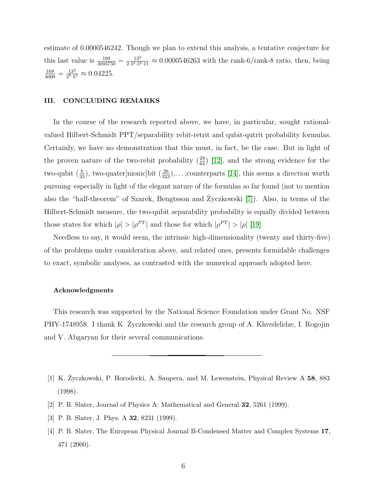estimate of 0.0000546242. Though we plan to extend this analysis, a tentative conjecture for this last value is  $\frac{169}{3093750} = \frac{13^2}{2 \cdot 3^2 \cdot 5^6}$  $\frac{13^2}{2 \cdot 3^2 \cdot 5^6 \cdot 11} \approx 0.0000546263$  with the rank-6/rank-8 ratio, then, being  $\frac{169}{4000} = \frac{13^2}{2^5 \cdot 5}$  $\frac{13^2}{2^5 \cdot 5^3} \approx 0.04225.$ 

## III. CONCLUDING REMARKS

In the course of the research reported above, we have, in particular, sought rationalvalued Hilbert-Schmidt PPT/separability rebit-retrit and qubit-qutrit probability formulas. Certainly, we have no demonstration that this must, in fact, be the case. But in light of the proven nature of the two-rebit probability  $\left(\frac{29}{64}\right)$  [\[12\]](#page-6-9), and the strong evidence for the two-qubit  $(\frac{8}{33})$ , two-quater[nionic]bit  $(\frac{26}{323})$ ,...,counterparts [\[14\]](#page-6-6), this seems a direction worth pursuing–especially in light of the elegant nature of the formulas so far found (not to mention also the "half-theorem" of Szarek, Bengtsson and Życzkowski [[7\]](#page-6-2)). Also, in terms of the Hilbert-Schmidt measure, the two-qubit separability probability is equally divided between those states for which  $|\rho| > |\rho^{PT}|$  and those for which  $|\rho^{PT}| > |\rho|$  [\[19\]](#page-6-11).

Needless to say, it would seem, the intrinsic high-dimensionality (twenty and thirty-five) of the problems under consideration above, and related ones, presents formidable challenges to exact, symbolic analyses, as contrasted with the numerical approach adopted here.

#### Acknowledgments

This research was supported by the National Science Foundation under Grant No. NSF PHY-1748958. I thank K. Zyczkowski and the research group of A. Khvedelidze, I. Rogojin and V. Abgaryan for their several communications.

- <span id="page-5-0"></span>[1] K. Zyczkowski, P. Horodecki, A. Sanpera, and M. Lewenstein, Physical Review A 58, 883 (1998).
- <span id="page-5-1"></span>[2] P. B. Slater, Journal of Physics A: Mathematical and General 32, 5261 (1999).
- [3] P. B. Slater, J. Phys. A 32, 8231 (1999).
- [4] P. B. Slater, The European Physical Journal B-Condensed Matter and Complex Systems 17, 471 (2000).